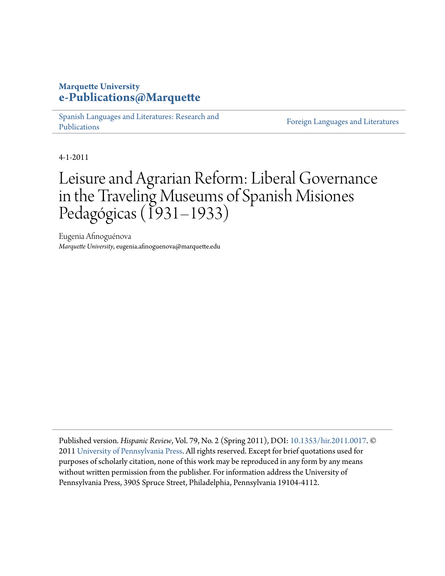# **Marquette University [e-Publications@Marquette](http://epublications.marquette.edu)**

[Spanish Languages and Literatures: Research and](http://epublications.marquette.edu/span_fac) [Publications](http://epublications.marquette.edu/span_fac)

[Foreign Languages and Literatures](http://epublications.marquette.edu/fola)

4-1-2011

# Leisure and Agrarian Reform: Liberal Governance in the Traveling Museums of Spanish Misiones Pedagógicas (1931–1933)

Eugenia Afinoguénova *Marquette University*, eugenia.afinoguenova@marquette.edu

Published version. *Hispanic Review*, Vol. 79, No. 2 (Spring 2011), DOI: [10.1353/hir.2011.0017](http://dx.doi.org/10.1353/hir.2011.0017). © 2011 [University of Pennsylvania Press.](http://www.upenn.edu/pennpress/) All rights reserved. Except for brief quotations used for purposes of scholarly citation, none of this work may be reproduced in any form by any means without written permission from the publisher. For information address the University of Pennsylvania Press, 3905 Spruce Street, Philadelphia, Pennsylvania 19104-4112.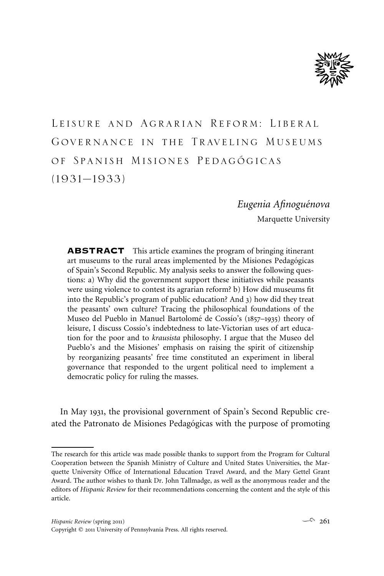

Leisure and Agrarian Reform: Liberal Governance in the Traveling Museums OF SPANISH MISIONES PEDAGÓGICAS (1931–1933)

# *Eugenia Afinogue´nova* Marquette University

ABSTRACT This article examines the program of bringing itinerant art museums to the rural areas implemented by the Misiones Pedagógicas of Spain's Second Republic. My analysis seeks to answer the following questions: a) Why did the government support these initiatives while peasants were using violence to contest its agrarian reform? b) How did museums fit into the Republic's program of public education? And 3) how did they treat the peasants' own culture? Tracing the philosophical foundations of the Museo del Pueblo in Manuel Bartolomé de Cossío's (1857–1935) theory of leisure, I discuss Cossío's indebtedness to late-Victorian uses of art education for the poor and to *krausista* philosophy. I argue that the Museo del Pueblo's and the Misiones' emphasis on raising the spirit of citizenship by reorganizing peasants' free time constituted an experiment in liberal governance that responded to the urgent political need to implement a democratic policy for ruling the masses.

In May 1931, the provisional government of Spain's Second Republic created the Patronato de Misiones Pedagógicas with the purpose of promoting

The research for this article was made possible thanks to support from the Program for Cultural Cooperation between the Spanish Ministry of Culture and United States Universities, the Marquette University Office of International Education Travel Award, and the Mary Gettel Grant Award. The author wishes to thank Dr. John Tallmadge, as well as the anonymous reader and the editors of *Hispanic Review* for their recommendations concerning the content and the style of this article.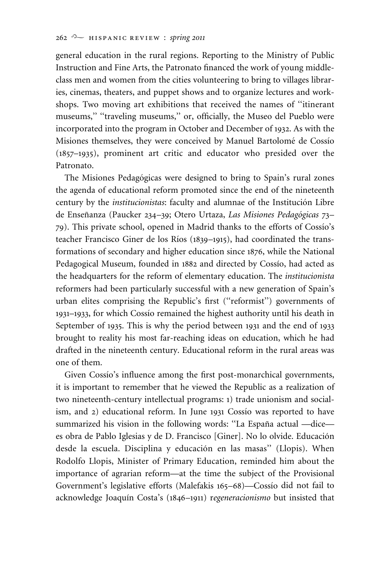general education in the rural regions. Reporting to the Ministry of Public Instruction and Fine Arts, the Patronato financed the work of young middleclass men and women from the cities volunteering to bring to villages libraries, cinemas, theaters, and puppet shows and to organize lectures and workshops. Two moving art exhibitions that received the names of ''itinerant museums," "traveling museums," or, officially, the Museo del Pueblo were incorporated into the program in October and December of 1932. As with the Misiones themselves, they were conceived by Manuel Bartolomé de Cossío (1857–1935), prominent art critic and educator who presided over the Patronato.

The Misiones Pedagógicas were designed to bring to Spain's rural zones the agenda of educational reform promoted since the end of the nineteenth century by the *institucionistas*: faculty and alumnae of the Institución Libre de Enseñanza (Paucker 234–39; Otero Urtaza, *Las Misiones Pedagógicas* 73– 79). This private school, opened in Madrid thanks to the efforts of Cossio's teacher Francisco Giner de los Ríos (1839–1915), had coordinated the transformations of secondary and higher education since 1876, while the National Pedagogical Museum, founded in 1882 and directed by Cossío, had acted as the headquarters for the reform of elementary education. The *institucionista* reformers had been particularly successful with a new generation of Spain's urban elites comprising the Republic's first (''reformist'') governments of 1931–1933, for which Cossio remained the highest authority until his death in September of 1935. This is why the period between 1931 and the end of 1933 brought to reality his most far-reaching ideas on education, which he had drafted in the nineteenth century. Educational reform in the rural areas was one of them.

Given Cossio's influence among the first post-monarchical governments, it is important to remember that he viewed the Republic as a realization of two nineteenth-century intellectual programs: 1) trade unionism and socialism, and 2) educational reform. In June 1931 Cossio was reported to have summarized his vision in the following words: "La España actual —dice es obra de Pablo Iglesias y de D. Francisco [Giner]. No lo olvide. Educación desde la escuela. Disciplina y educación en las masas" (Llopis). When Rodolfo Llopis, Minister of Primary Education, reminded him about the importance of agrarian reform—at the time the subject of the Provisional Government's legislative efforts (Malefakis 165-68)—Cossío did not fail to acknowledge Joaquín Costa's (1846–1911) regeneracionismo but insisted that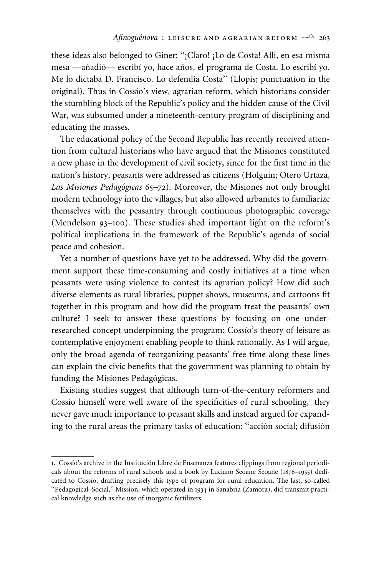these ideas also belonged to Giner: "¡Claro! ¡Lo de Costa! Allí, en esa misma mesa —añadió— escribí yo, hace años, el programa de Costa. Lo escribí yo. Me lo dictaba D. Francisco. Lo defendía Costa" (Llopis; punctuation in the original). Thus in Cossío's view, agrarian reform, which historians consider the stumbling block of the Republic's policy and the hidden cause of the Civil War, was subsumed under a nineteenth-century program of disciplining and educating the masses.

The educational policy of the Second Republic has recently received attention from cultural historians who have argued that the Misiones constituted a new phase in the development of civil society, since for the first time in the nation's history, peasants were addressed as citizens (Holguín; Otero Urtaza, Las Misiones Pedagógicas 65–72). Moreover, the Misiones not only brought modern technology into the villages, but also allowed urbanites to familiarize themselves with the peasantry through continuous photographic coverage (Mendelson 93–100). These studies shed important light on the reform's political implications in the framework of the Republic's agenda of social peace and cohesion.

Yet a number of questions have yet to be addressed. Why did the government support these time-consuming and costly initiatives at a time when peasants were using violence to contest its agrarian policy? How did such diverse elements as rural libraries, puppet shows, museums, and cartoons fit together in this program and how did the program treat the peasants' own culture? I seek to answer these questions by focusing on one underresearched concept underpinning the program: Cossio's theory of leisure as contemplative enjoyment enabling people to think rationally. As I will argue, only the broad agenda of reorganizing peasants' free time along these lines can explain the civic benefits that the government was planning to obtain by funding the Misiones Pedagógicas.

Existing studies suggest that although turn-of-the-century reformers and Cossio himself were well aware of the specificities of rural schooling, $<sup>1</sup>$  they</sup> never gave much importance to peasant skills and instead argued for expanding to the rural areas the primary tasks of education: "acción social; difusión

<sup>1.</sup> Cossío's archive in the Institución Libre de Enseñanza features clippings from regional periodicals about the reforms of rural schools and a book by Luciano Seoane Seoane (1876–1955) dedicated to Cossio, drafting precisely this type of program for rural education. The last, so-called ''Pedagogical–Social,'' Mission, which operated in 1934 in Sanabria (Zamora), did transmit practical knowledge such as the use of inorganic fertilizers.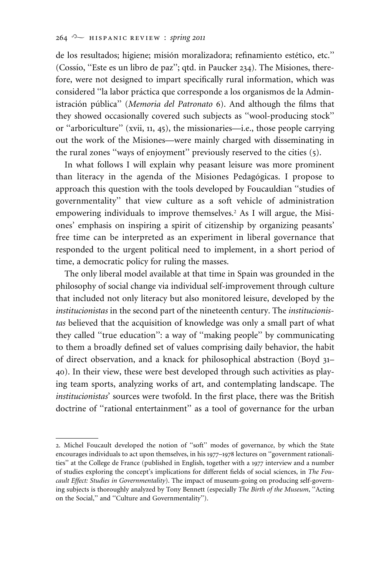de los resultados; higiene; misión moralizadora; refinamiento estético, etc." (Cossio, "Este es un libro de paz"; qtd. in Paucker 234). The Misiones, therefore, were not designed to impart specifically rural information, which was considered "la labor práctica que corresponde a los organismos de la Administración pública" (Memoria del Patronato 6). And although the films that they showed occasionally covered such subjects as ''wool-producing stock'' or ''arboriculture'' (xvii, 11, 45), the missionaries—i.e., those people carrying out the work of the Misiones—were mainly charged with disseminating in the rural zones ''ways of enjoyment'' previously reserved to the cities (5).

In what follows I will explain why peasant leisure was more prominent than literacy in the agenda of the Misiones Pedagógicas. I propose to approach this question with the tools developed by Foucauldian ''studies of governmentality'' that view culture as a soft vehicle of administration empowering individuals to improve themselves.2 As I will argue, the Misiones' emphasis on inspiring a spirit of citizenship by organizing peasants' free time can be interpreted as an experiment in liberal governance that responded to the urgent political need to implement, in a short period of time, a democratic policy for ruling the masses.

The only liberal model available at that time in Spain was grounded in the philosophy of social change via individual self-improvement through culture that included not only literacy but also monitored leisure, developed by the *institucionistas* in the second part of the nineteenth century. The *institucionistas* believed that the acquisition of knowledge was only a small part of what they called ''true education'': a way of ''making people'' by communicating to them a broadly defined set of values comprising daily behavior, the habit of direct observation, and a knack for philosophical abstraction (Boyd 31– 40). In their view, these were best developed through such activities as playing team sports, analyzing works of art, and contemplating landscape. The *institucionistas*' sources were twofold. In the first place, there was the British doctrine of ''rational entertainment'' as a tool of governance for the urban

<sup>2</sup>. Michel Foucault developed the notion of ''soft'' modes of governance, by which the State encourages individuals to act upon themselves, in his 1977–1978 lectures on ''government rationalities'' at the College de France (published in English, together with a 1977 interview and a number of studies exploring the concept's implications for different fields of social sciences, in *The Foucault Effect: Studies in Governmentality*). The impact of museum-going on producing self-governing subjects is thoroughly analyzed by Tony Bennett (especially *The Birth of the Museum*, ''Acting on the Social,'' and ''Culture and Governmentality'').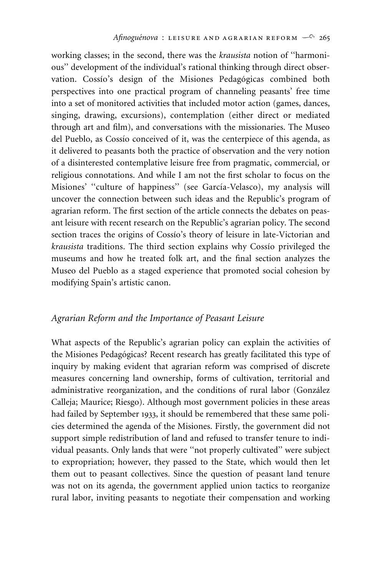working classes; in the second, there was the *krausista* notion of ''harmonious'' development of the individual's rational thinking through direct observation. Cossio's design of the Misiones Pedagógicas combined both perspectives into one practical program of channeling peasants' free time into a set of monitored activities that included motor action (games, dances, singing, drawing, excursions), contemplation (either direct or mediated through art and film), and conversations with the missionaries. The Museo del Pueblo, as Cossío conceived of it, was the centerpiece of this agenda, as it delivered to peasants both the practice of observation and the very notion of a disinterested contemplative leisure free from pragmatic, commercial, or religious connotations. And while I am not the first scholar to focus on the Misiones' "culture of happiness" (see García-Velasco), my analysis will uncover the connection between such ideas and the Republic's program of agrarian reform. The first section of the article connects the debates on peasant leisure with recent research on the Republic's agrarian policy. The second section traces the origins of Cossío's theory of leisure in late-Victorian and *krausista* traditions. The third section explains why Cossio privileged the museums and how he treated folk art, and the final section analyzes the Museo del Pueblo as a staged experience that promoted social cohesion by modifying Spain's artistic canon.

#### *Agrarian Reform and the Importance of Peasant Leisure*

What aspects of the Republic's agrarian policy can explain the activities of the Misiones Pedagógicas? Recent research has greatly facilitated this type of inquiry by making evident that agrarian reform was comprised of discrete measures concerning land ownership, forms of cultivation, territorial and administrative reorganization, and the conditions of rural labor (González Calleja; Maurice; Riesgo). Although most government policies in these areas had failed by September 1933, it should be remembered that these same policies determined the agenda of the Misiones. Firstly, the government did not support simple redistribution of land and refused to transfer tenure to individual peasants. Only lands that were ''not properly cultivated'' were subject to expropriation; however, they passed to the State, which would then let them out to peasant collectives. Since the question of peasant land tenure was not on its agenda, the government applied union tactics to reorganize rural labor, inviting peasants to negotiate their compensation and working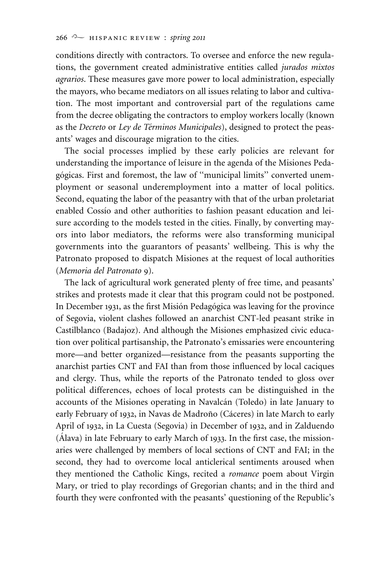conditions directly with contractors. To oversee and enforce the new regulations, the government created administrative entities called *jurados mixtos agrarios*. These measures gave more power to local administration, especially the mayors, who became mediators on all issues relating to labor and cultivation. The most important and controversial part of the regulations came from the decree obligating the contractors to employ workers locally (known as the *Decreto* or *Ley de Términos Municipales*), designed to protect the peasants' wages and discourage migration to the cities.

The social processes implied by these early policies are relevant for understanding the importance of leisure in the agenda of the Misiones Pedagógicas. First and foremost, the law of "municipal limits" converted unemployment or seasonal underemployment into a matter of local politics. Second, equating the labor of the peasantry with that of the urban proletariat enabled Cossio and other authorities to fashion peasant education and leisure according to the models tested in the cities. Finally, by converting mayors into labor mediators, the reforms were also transforming municipal governments into the guarantors of peasants' wellbeing. This is why the Patronato proposed to dispatch Misiones at the request of local authorities (*Memoria del Patronato* 9).

The lack of agricultural work generated plenty of free time, and peasants' strikes and protests made it clear that this program could not be postponed. In December 1931, as the first Misión Pedagógica was leaving for the province of Segovia, violent clashes followed an anarchist CNT-led peasant strike in Castilblanco (Badajoz). And although the Misiones emphasized civic education over political partisanship, the Patronato's emissaries were encountering more—and better organized—resistance from the peasants supporting the anarchist parties CNT and FAI than from those influenced by local caciques and clergy. Thus, while the reports of the Patronato tended to gloss over political differences, echoes of local protests can be distinguished in the accounts of the Misiones operating in Navalcán (Toledo) in late January to early February of 1932, in Navas de Madroño (Cáceres) in late March to early April of 1932, in La Cuesta (Segovia) in December of 1932, and in Zalduendo  $(A$ lava) in late February to early March of 1933. In the first case, the missionaries were challenged by members of local sections of CNT and FAI; in the second, they had to overcome local anticlerical sentiments aroused when they mentioned the Catholic Kings, recited a *romance* poem about Virgin Mary, or tried to play recordings of Gregorian chants; and in the third and fourth they were confronted with the peasants' questioning of the Republic's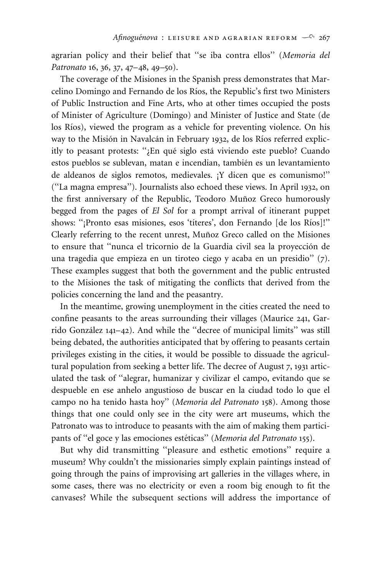agrarian policy and their belief that ''se iba contra ellos'' (*Memoria del Patronato* 16, 36, 37, 47–48, 49–50).

The coverage of the Misiones in the Spanish press demonstrates that Marcelino Domingo and Fernando de los Ríos, the Republic's first two Ministers of Public Instruction and Fine Arts, who at other times occupied the posts of Minister of Agriculture (Domingo) and Minister of Justice and State (de los Ríos), viewed the program as a vehicle for preventing violence. On his way to the Misión in Navalcán in February 1932, de los Ríos referred explicitly to peasant protests: "¿En qué siglo está viviendo este pueblo? Cuando estos pueblos se sublevan, matan e incendian, también es un levantamiento de aldeanos de siglos remotos, medievales. ¡Y dicen que es comunismo!'' (''La magna empresa''). Journalists also echoed these views. In April 1932, on the first anniversary of the Republic, Teodoro Muñoz Greco humorously begged from the pages of *El Sol* for a prompt arrival of itinerant puppet shows: "¡Pronto esas misiones, esos 'títeres', don Fernando [de los Ríos]!" Clearly referring to the recent unrest, Muñoz Greco called on the Misiones to ensure that "nunca el tricornio de la Guardia civil sea la proyección de una tragedia que empieza en un tiroteo ciego y acaba en un presidio'' (7). These examples suggest that both the government and the public entrusted to the Misiones the task of mitigating the conflicts that derived from the policies concerning the land and the peasantry.

In the meantime, growing unemployment in the cities created the need to confine peasants to the areas surrounding their villages (Maurice 241, Garrido González 141-42). And while the "decree of municipal limits" was still being debated, the authorities anticipated that by offering to peasants certain privileges existing in the cities, it would be possible to dissuade the agricultural population from seeking a better life. The decree of August 7, 1931 articulated the task of ''alegrar, humanizar y civilizar el campo, evitando que se despueble en ese anhelo angustioso de buscar en la ciudad todo lo que el campo no ha tenido hasta hoy'' (*Memoria del Patronato* 158). Among those things that one could only see in the city were art museums, which the Patronato was to introduce to peasants with the aim of making them participants of "el goce y las emociones estéticas" (*Memoria del Patronato* 155).

But why did transmitting ''pleasure and esthetic emotions'' require a museum? Why couldn't the missionaries simply explain paintings instead of going through the pains of improvising art galleries in the villages where, in some cases, there was no electricity or even a room big enough to fit the canvases? While the subsequent sections will address the importance of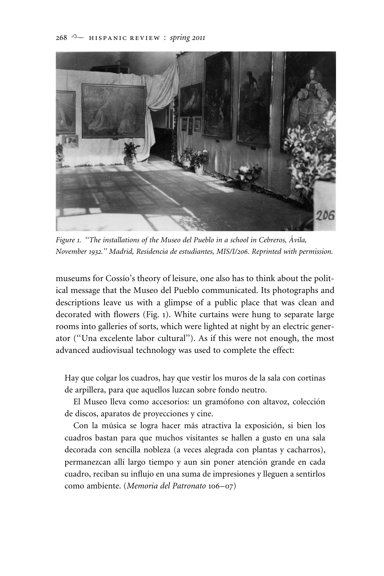

*Figure 1. ''The installations of the Museo del Pueblo in a school in Cebreros, A´ vila, November 1932.'' Madrid, Residencia de estudiantes, MIS/I/206. Reprinted with permission.*

museums for Cossio's theory of leisure, one also has to think about the political message that the Museo del Pueblo communicated. Its photographs and descriptions leave us with a glimpse of a public place that was clean and decorated with flowers (Fig. 1). White curtains were hung to separate large rooms into galleries of sorts, which were lighted at night by an electric generator (''Una excelente labor cultural''). As if this were not enough, the most advanced audiovisual technology was used to complete the effect:

Hay que colgar los cuadros, hay que vestir los muros de la sala con cortinas de arpillera, para que aquellos luzcan sobre fondo neutro.

El Museo lleva como accesorios: un gramófono con altavoz, colección de discos, aparatos de proyecciones y cine.

Con la música se logra hacer más atractiva la exposición, si bien los cuadros bastan para que muchos visitantes se hallen a gusto en una sala decorada con sencilla nobleza (a veces alegrada con plantas y cacharros), permanezcan allí largo tiempo y aun sin poner atención grande en cada cuadro, reciban su influjo en una suma de impresiones y lleguen a sentirlos como ambiente. (*Memoria del Patronato* 106–07)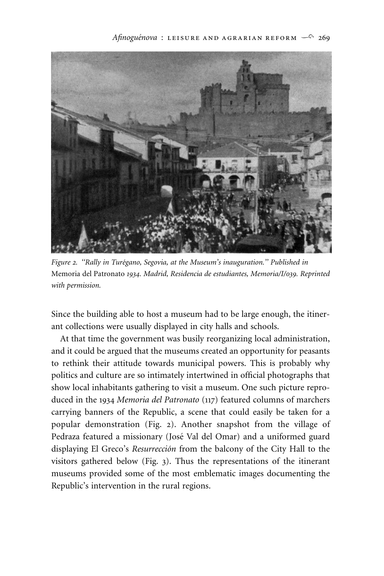

*Figure 2. ''Rally in Ture´gano, Segovia, at the Museum's inauguration.'' Published in* Memoria del Patronato *1934. Madrid, Residencia de estudiantes, Memoria/I/039. Reprinted with permission.*

Since the building able to host a museum had to be large enough, the itinerant collections were usually displayed in city halls and schools.

At that time the government was busily reorganizing local administration, and it could be argued that the museums created an opportunity for peasants to rethink their attitude towards municipal powers. This is probably why politics and culture are so intimately intertwined in official photographs that show local inhabitants gathering to visit a museum. One such picture reproduced in the 1934 *Memoria del Patronato* (117) featured columns of marchers carrying banners of the Republic, a scene that could easily be taken for a popular demonstration (Fig. 2). Another snapshot from the village of Pedraza featured a missionary (José Val del Omar) and a uniformed guard displaying El Greco's *Resurrección* from the balcony of the City Hall to the visitors gathered below (Fig. 3). Thus the representations of the itinerant museums provided some of the most emblematic images documenting the Republic's intervention in the rural regions.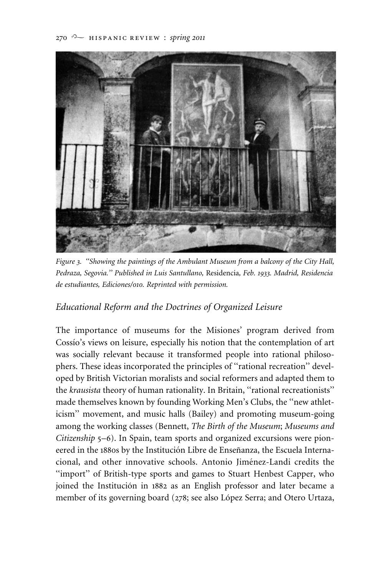

*Figure 3. ''Showing the paintings of the Ambulant Museum from a balcony of the City Hall, Pedraza, Segovia.'' Published in Luis Santullano,* Residencia*, Feb. 1933. Madrid, Residencia de estudiantes, Ediciones/010. Reprinted with permission.*

# *Educational Reform and the Doctrines of Organized Leisure*

The importance of museums for the Misiones' program derived from Cossio's views on leisure, especially his notion that the contemplation of art was socially relevant because it transformed people into rational philosophers. These ideas incorporated the principles of ''rational recreation'' developed by British Victorian moralists and social reformers and adapted them to the *krausista* theory of human rationality. In Britain, ''rational recreationists'' made themselves known by founding Working Men's Clubs, the ''new athleticism'' movement, and music halls (Bailey) and promoting museum-going among the working classes (Bennett, *The Birth of the Museum*; *Museums and Citizenship* 5–6). In Spain, team sports and organized excursions were pioneered in the 1880s by the Institución Libre de Enseñanza, the Escuela Internacional, and other innovative schools. Antonio Jiménez-Landi credits the "import" of British-type sports and games to Stuart Henbest Capper, who joined the Institución in 1882 as an English professor and later became a member of its governing board (278; see also López Serra; and Otero Urtaza,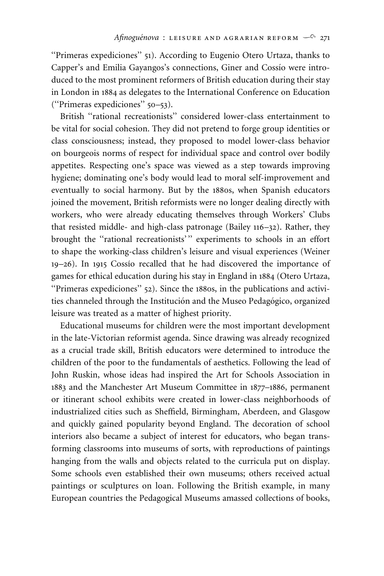''Primeras expediciones'' 51). According to Eugenio Otero Urtaza, thanks to Capper's and Emilia Gayangos's connections, Giner and Cossio were introduced to the most prominent reformers of British education during their stay in London in 1884 as delegates to the International Conference on Education (''Primeras expediciones'' 50–53).

British ''rational recreationists'' considered lower-class entertainment to be vital for social cohesion. They did not pretend to forge group identities or class consciousness; instead, they proposed to model lower-class behavior on bourgeois norms of respect for individual space and control over bodily appetites. Respecting one's space was viewed as a step towards improving hygiene; dominating one's body would lead to moral self-improvement and eventually to social harmony. But by the 1880s, when Spanish educators joined the movement, British reformists were no longer dealing directly with workers, who were already educating themselves through Workers' Clubs that resisted middle- and high-class patronage (Bailey 116–32). Rather, they brought the "rational recreationists'" experiments to schools in an effort to shape the working-class children's leisure and visual experiences (Weiner 19-26). In 1915 Cossío recalled that he had discovered the importance of games for ethical education during his stay in England in 1884 (Otero Urtaza, ''Primeras expediciones'' 52). Since the 1880s, in the publications and activities channeled through the Institución and the Museo Pedagógico, organized leisure was treated as a matter of highest priority.

Educational museums for children were the most important development in the late-Victorian reformist agenda. Since drawing was already recognized as a crucial trade skill, British educators were determined to introduce the children of the poor to the fundamentals of aesthetics. Following the lead of John Ruskin, whose ideas had inspired the Art for Schools Association in 1883 and the Manchester Art Museum Committee in 1877–1886, permanent or itinerant school exhibits were created in lower-class neighborhoods of industrialized cities such as Sheffield, Birmingham, Aberdeen, and Glasgow and quickly gained popularity beyond England. The decoration of school interiors also became a subject of interest for educators, who began transforming classrooms into museums of sorts, with reproductions of paintings hanging from the walls and objects related to the curricula put on display. Some schools even established their own museums; others received actual paintings or sculptures on loan. Following the British example, in many European countries the Pedagogical Museums amassed collections of books,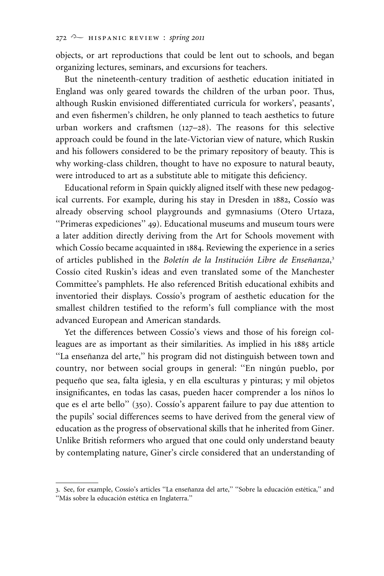objects, or art reproductions that could be lent out to schools, and began organizing lectures, seminars, and excursions for teachers.

But the nineteenth-century tradition of aesthetic education initiated in England was only geared towards the children of the urban poor. Thus, although Ruskin envisioned differentiated curricula for workers', peasants', and even fishermen's children, he only planned to teach aesthetics to future urban workers and craftsmen (127–28). The reasons for this selective approach could be found in the late-Victorian view of nature, which Ruskin and his followers considered to be the primary repository of beauty. This is why working-class children, thought to have no exposure to natural beauty, were introduced to art as a substitute able to mitigate this deficiency.

Educational reform in Spain quickly aligned itself with these new pedagogical currents. For example, during his stay in Dresden in 1882, Cossío was already observing school playgrounds and gymnasiums (Otero Urtaza, ''Primeras expediciones'' 49). Educational museums and museum tours were a later addition directly deriving from the Art for Schools movement with which Cossio became acquainted in 1884. Reviewing the experience in a series of articles published in the *Boletín de la Institución Libre de Enseñanza*,<sup>3</sup> Cossio cited Ruskin's ideas and even translated some of the Manchester Committee's pamphlets. He also referenced British educational exhibits and inventoried their displays. Cossio's program of aesthetic education for the smallest children testified to the reform's full compliance with the most advanced European and American standards.

Yet the differences between Cossio's views and those of his foreign colleagues are as important as their similarities. As implied in his 1885 article "La enseñanza del arte," his program did not distinguish between town and country, nor between social groups in general: "En ningún pueblo, por pequeño que sea, falta iglesia, y en ella esculturas y pinturas; y mil objetos insignificantes, en todas las casas, pueden hacer comprender a los niños lo que es el arte bello" (350). Cossío's apparent failure to pay due attention to the pupils' social differences seems to have derived from the general view of education as the progress of observational skills that he inherited from Giner. Unlike British reformers who argued that one could only understand beauty by contemplating nature, Giner's circle considered that an understanding of

<sup>3.</sup> See, for example, Cossío's articles "La enseñanza del arte," "Sobre la educación estética," and "Más sobre la educación estética en Inglaterra."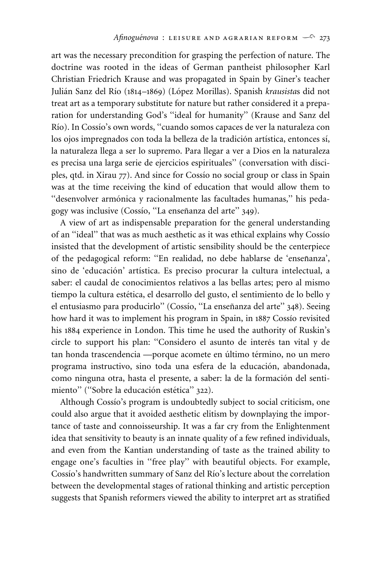art was the necessary precondition for grasping the perfection of nature. The doctrine was rooted in the ideas of German pantheist philosopher Karl Christian Friedrich Krause and was propagated in Spain by Giner's teacher Julián Sanz del Río (1814–1869) (López Morillas). Spanish *krausistas* did not treat art as a temporary substitute for nature but rather considered it a preparation for understanding God's ''ideal for humanity'' (Krause and Sanz del Río). In Cossío's own words, "cuando somos capaces de ver la naturaleza con los ojos impregnados con toda la belleza de la tradición artística, entonces sí, la naturaleza llega a ser lo supremo. Para llegar a ver a Dios en la naturaleza es precisa una larga serie de ejercicios espirituales'' (conversation with disciples, qtd. in Xirau 77). And since for Cossío no social group or class in Spain was at the time receiving the kind of education that would allow them to "desenvolver armónica y racionalmente las facultades humanas," his pedagogy was inclusive (Cossío, "La enseñanza del arte" 349).

A view of art as indispensable preparation for the general understanding of an "ideal" that was as much aesthetic as it was ethical explains why Cossío insisted that the development of artistic sensibility should be the centerpiece of the pedagogical reform: "En realidad, no debe hablarse de 'enseñanza', sino de 'educación' artística. Es preciso procurar la cultura intelectual, a saber: el caudal de conocimientos relativos a las bellas artes; pero al mismo tiempo la cultura estética, el desarrollo del gusto, el sentimiento de lo bello y el entusiasmo para producirlo" (Cossío, "La enseñanza del arte" 348). Seeing how hard it was to implement his program in Spain, in 1887 Cossío revisited his 1884 experience in London. This time he used the authority of Ruskin's circle to support his plan: "Considero el asunto de interés tan vital y de tan honda trascendencia —porque acomete en último término, no un mero programa instructivo, sino toda una esfera de la educación, abandonada, como ninguna otra, hasta el presente, a saber: la de la formación del sentimiento" ("Sobre la educación estética" 322).

Although Cossio's program is undoubtedly subject to social criticism, one could also argue that it avoided aesthetic elitism by downplaying the importance of taste and connoisseurship. It was a far cry from the Enlightenment idea that sensitivity to beauty is an innate quality of a few refined individuals, and even from the Kantian understanding of taste as the trained ability to engage one's faculties in ''free play'' with beautiful objects. For example, Cossio's handwritten summary of Sanz del Río's lecture about the correlation between the developmental stages of rational thinking and artistic perception suggests that Spanish reformers viewed the ability to interpret art as stratified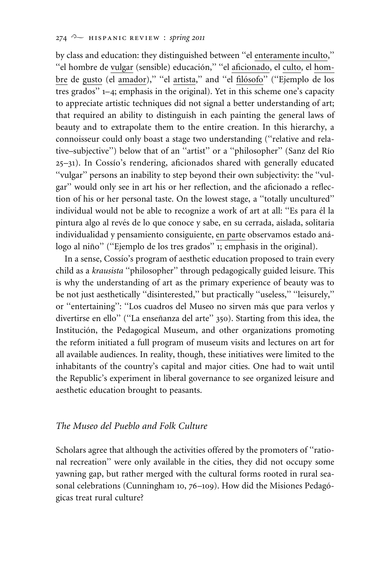#### 274 <sup>2</sup> HISPANIC REVIEW : *spring* 2011

by class and education: they distinguished between ''el enteramente inculto,'' "el hombre de vulgar (sensible) educación," "el aficionado, el culto, el hombre de gusto (el amador)," "el artista," and "el filósofo" ("Ejemplo de los tres grados'' 1–4; emphasis in the original). Yet in this scheme one's capacity to appreciate artistic techniques did not signal a better understanding of art; that required an ability to distinguish in each painting the general laws of beauty and to extrapolate them to the entire creation. In this hierarchy, a connoisseur could only boast a stage two understanding (''relative and relative–subjective") below that of an "artist" or a "philosopher" (Sanz del Río 25–31). In Cossı´o's rendering, aficionados shared with generally educated ''vulgar'' persons an inability to step beyond their own subjectivity: the ''vulgar'' would only see in art his or her reflection, and the aficionado a reflection of his or her personal taste. On the lowest stage, a ''totally uncultured'' individual would not be able to recognize a work of art at all: "Es para él la pintura algo al revés de lo que conoce y sabe, en su cerrada, aislada, solitaria individualidad y pensamiento consiguiente, en parte observamos estado análogo al niño" ("Ejemplo de los tres grados" 1; emphasis in the original).

In a sense, Cossio's program of aesthetic education proposed to train every child as a *krausista* ''philosopher'' through pedagogically guided leisure. This is why the understanding of art as the primary experience of beauty was to be not just aesthetically ''disinterested,'' but practically ''useless,'' ''leisurely,'' or "entertaining": "Los cuadros del Museo no sirven más que para verlos y divertirse en ello" ("La enseñanza del arte" 350). Starting from this idea, the Institución, the Pedagogical Museum, and other organizations promoting the reform initiated a full program of museum visits and lectures on art for all available audiences. In reality, though, these initiatives were limited to the inhabitants of the country's capital and major cities. One had to wait until the Republic's experiment in liberal governance to see organized leisure and aesthetic education brought to peasants.

## *The Museo del Pueblo and Folk Culture*

Scholars agree that although the activities offered by the promoters of "rational recreation'' were only available in the cities, they did not occupy some yawning gap, but rather merged with the cultural forms rooted in rural seasonal celebrations (Cunningham 10, 76–109). How did the Misiones Pedagógicas treat rural culture?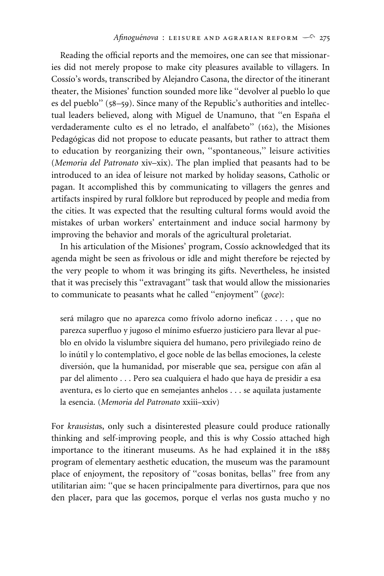Reading the official reports and the memoires, one can see that missionaries did not merely propose to make city pleasures available to villagers. In Cossio's words, transcribed by Alejandro Casona, the director of the itinerant theater, the Misiones' function sounded more like ''devolver al pueblo lo que es del pueblo'' (58–59). Since many of the Republic's authorities and intellectual leaders believed, along with Miguel de Unamuno, that "en España el verdaderamente culto es el no letrado, el analfabeto'' (162), the Misiones Pedagógicas did not propose to educate peasants, but rather to attract them to education by reorganizing their own, ''spontaneous,'' leisure activities (*Memoria del Patronato* xiv–xix). The plan implied that peasants had to be introduced to an idea of leisure not marked by holiday seasons, Catholic or pagan. It accomplished this by communicating to villagers the genres and artifacts inspired by rural folklore but reproduced by people and media from the cities. It was expected that the resulting cultural forms would avoid the mistakes of urban workers' entertainment and induce social harmony by improving the behavior and morals of the agricultural proletariat.

In his articulation of the Misiones' program, Cossio acknowledged that its agenda might be seen as frivolous or idle and might therefore be rejected by the very people to whom it was bringing its gifts. Nevertheless, he insisted that it was precisely this ''extravagant'' task that would allow the missionaries to communicate to peasants what he called ''enjoyment'' (*goce*):

será milagro que no aparezca como frívolo adorno ineficaz . . . , que no parezca superfluo y jugoso el mínimo esfuerzo justiciero para llevar al pueblo en olvido la vislumbre siquiera del humano, pero privilegiado reino de lo inútil y lo contemplativo, el goce noble de las bellas emociones, la celeste diversión, que la humanidad, por miserable que sea, persigue con afán al par del alimento . . . Pero sea cualquiera el hado que haya de presidir a esa aventura, es lo cierto que en semejantes anhelos . . . se aquilata justamente la esencia. (*Memoria del Patronato* xxiii–xxiv)

For *krausista*s, only such a disinterested pleasure could produce rationally thinking and self-improving people, and this is why Cossio attached high importance to the itinerant museums. As he had explained it in the 1885 program of elementary aesthetic education, the museum was the paramount place of enjoyment, the repository of ''cosas bonitas, bellas'' free from any utilitarian aim: ''que se hacen principalmente para divertirnos, para que nos den placer, para que las gocemos, porque el verlas nos gusta mucho y no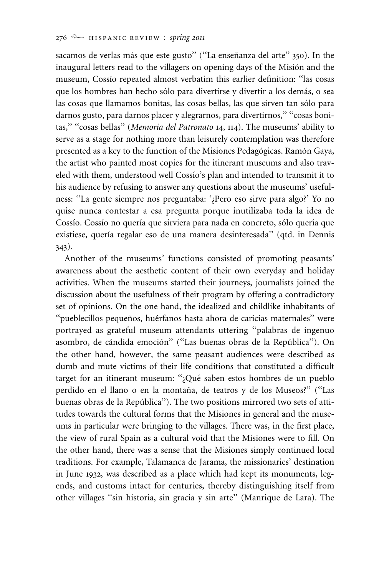sacamos de verlas más que este gusto" ("La enseñanza del arte" 350). In the inaugural letters read to the villagers on opening days of the Misión and the museum, Cossío repeated almost verbatim this earlier definition: "las cosas que los hombres han hecho sólo para divertirse y divertir a los demás, o sea las cosas que llamamos bonitas, las cosas bellas, las que sirven tan sólo para darnos gusto, para darnos placer y alegrarnos, para divertirnos,'' ''cosas bonitas,'' ''cosas bellas'' (*Memoria del Patronato* 14, 114). The museums' ability to serve as a stage for nothing more than leisurely contemplation was therefore presented as a key to the function of the Misiones Pedagógicas. Ramón Gaya, the artist who painted most copies for the itinerant museums and also traveled with them, understood well Cossio's plan and intended to transmit it to his audience by refusing to answer any questions about the museums' usefulness: ''La gente siempre nos preguntaba: '¿Pero eso sirve para algo?' Yo no quise nunca contestar a esa pregunta porque inutilizaba toda la idea de Cossío. Cossío no quería que sirviera para nada en concreto, sólo quería que existiese, quería regalar eso de una manera desinteresada" (qtd. in Dennis 343).

Another of the museums' functions consisted of promoting peasants' awareness about the aesthetic content of their own everyday and holiday activities. When the museums started their journeys, journalists joined the discussion about the usefulness of their program by offering a contradictory set of opinions. On the one hand, the idealized and childlike inhabitants of "pueblecillos pequeños, huérfanos hasta ahora de caricias maternales" were portrayed as grateful museum attendants uttering ''palabras de ingenuo asombro, de cándida emoción" ("Las buenas obras de la República"). On the other hand, however, the same peasant audiences were described as dumb and mute victims of their life conditions that constituted a difficult target for an itinerant museum: ";Qué saben estos hombres de un pueblo perdido en el llano o en la montaña, de teatros y de los Museos?" ("Las buenas obras de la República"). The two positions mirrored two sets of attitudes towards the cultural forms that the Misiones in general and the museums in particular were bringing to the villages. There was, in the first place, the view of rural Spain as a cultural void that the Misiones were to fill. On the other hand, there was a sense that the Misiones simply continued local traditions. For example, Talamanca de Jarama, the missionaries' destination in June 1932, was described as a place which had kept its monuments, legends, and customs intact for centuries, thereby distinguishing itself from other villages ''sin historia, sin gracia y sin arte'' (Manrique de Lara). The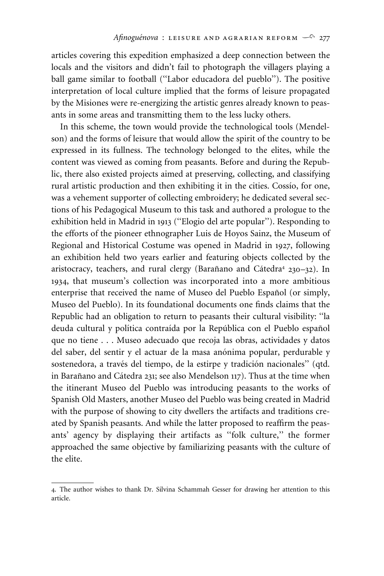articles covering this expedition emphasized a deep connection between the locals and the visitors and didn't fail to photograph the villagers playing a ball game similar to football (''Labor educadora del pueblo''). The positive interpretation of local culture implied that the forms of leisure propagated by the Misiones were re-energizing the artistic genres already known to peasants in some areas and transmitting them to the less lucky others.

In this scheme, the town would provide the technological tools (Mendelson) and the forms of leisure that would allow the spirit of the country to be expressed in its fullness. The technology belonged to the elites, while the content was viewed as coming from peasants. Before and during the Republic, there also existed projects aimed at preserving, collecting, and classifying rural artistic production and then exhibiting it in the cities. Cossio, for one, was a vehement supporter of collecting embroidery; he dedicated several sections of his Pedagogical Museum to this task and authored a prologue to the exhibition held in Madrid in 1913 (''Elogio del arte popular''). Responding to the efforts of the pioneer ethnographer Luis de Hoyos Sainz, the Museum of Regional and Historical Costume was opened in Madrid in 1927, following an exhibition held two years earlier and featuring objects collected by the aristocracy, teachers, and rural clergy (Barañano and Cátedra<sup>4</sup> 230–32). In 1934, that museum's collection was incorporated into a more ambitious enterprise that received the name of Museo del Pueblo Español (or simply, Museo del Pueblo). In its foundational documents one finds claims that the Republic had an obligation to return to peasants their cultural visibility: ''la deuda cultural y política contraída por la República con el Pueblo español que no tiene . . . Museo adecuado que recoja las obras, actividades y datos del saber, del sentir y el actuar de la masa anónima popular, perdurable y sostenedora, a través del tiempo, de la estirpe y tradición nacionales" (qtd. in Barañano and Cátedra 231; see also Mendelson 117). Thus at the time when the itinerant Museo del Pueblo was introducing peasants to the works of Spanish Old Masters, another Museo del Pueblo was being created in Madrid with the purpose of showing to city dwellers the artifacts and traditions created by Spanish peasants. And while the latter proposed to reaffirm the peasants' agency by displaying their artifacts as ''folk culture,'' the former approached the same objective by familiarizing peasants with the culture of the elite.

<sup>4</sup>. The author wishes to thank Dr. Silvina Schammah Gesser for drawing her attention to this article.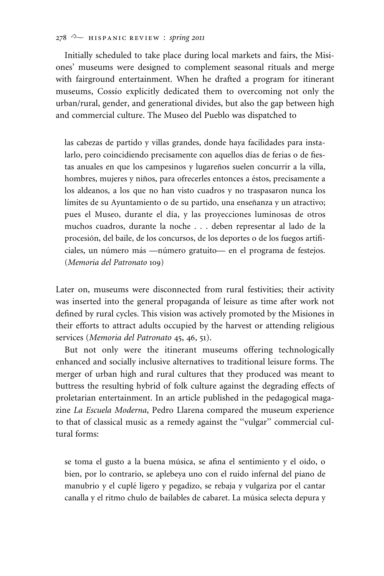#### 278 **a** HISPANIC REVIEW : *spring* 2011

Initially scheduled to take place during local markets and fairs, the Misiones' museums were designed to complement seasonal rituals and merge with fairground entertainment. When he drafted a program for itinerant museums, Cossio explicitly dedicated them to overcoming not only the urban/rural, gender, and generational divides, but also the gap between high and commercial culture. The Museo del Pueblo was dispatched to

las cabezas de partido y villas grandes, donde haya facilidades para instalarlo, pero coincidiendo precisamente con aquellos días de ferias o de fiestas anuales en que los campesinos y lugareños suelen concurrir a la villa, hombres, mujeres y niños, para ofrecerles entonces a éstos, precisamente a los aldeanos, a los que no han visto cuadros y no traspasaron nunca los límites de su Ayuntamiento o de su partido, una enseñanza y un atractivo; pues el Museo, durante el día, y las proyecciones luminosas de otros muchos cuadros, durante la noche . . . deben representar al lado de la procesión, del baile, de los concursos, de los deportes o de los fuegos artificiales, un número más —número gratuito— en el programa de festejos. (*Memoria del Patronato* 109)

Later on, museums were disconnected from rural festivities; their activity was inserted into the general propaganda of leisure as time after work not defined by rural cycles. This vision was actively promoted by the Misiones in their efforts to attract adults occupied by the harvest or attending religious services (*Memoria del Patronato* 45, 46, 51).

But not only were the itinerant museums offering technologically enhanced and socially inclusive alternatives to traditional leisure forms. The merger of urban high and rural cultures that they produced was meant to buttress the resulting hybrid of folk culture against the degrading effects of proletarian entertainment. In an article published in the pedagogical magazine *La Escuela Moderna*, Pedro Llarena compared the museum experience to that of classical music as a remedy against the ''vulgar'' commercial cultural forms:

se toma el gusto a la buena música, se afina el sentimiento y el oído, o bien, por lo contrario, se aplebeya uno con el ruido infernal del piano de manubrio y el cuplé ligero y pegadizo, se rebaja y vulgariza por el cantar canalla y el ritmo chulo de bailables de cabaret. La música selecta depura y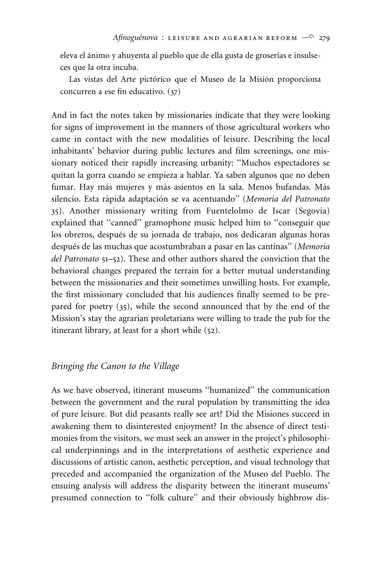eleva el ánimo y ahuyenta al pueblo que de ella gusta de groserías e insulseces que la otra incuba.

Las vistas del Arte pictórico que el Museo de la Misión proporciona concurren a ese fin educativo. (37)

And in fact the notes taken by missionaries indicate that they were looking for signs of improvement in the manners of those agricultural workers who came in contact with the new modalities of leisure. Describing the local inhabitants' behavior during public lectures and film screenings, one missionary noticed their rapidly increasing urbanity: ''Muchos espectadores se quitan la gorra cuando se empieza a hablar. Ya saben algunos que no deben fumar. Hay más mujeres y más asientos en la sala. Menos bufandas. Más silencio. Esta ra´pida adaptacio´n se va acentuando'' (*Memoria del Patronato* 35). Another missionary writing from Fuentelolmo de Iscar (Segovia) explained that ''canned'' gramophone music helped him to ''conseguir que los obreros, después de su jornada de trabajo, nos dedicaran algunas horas después de las muchas que acostumbraban a pasar en las cantinas" (Memoria *del Patronato* 51–52). These and other authors shared the conviction that the behavioral changes prepared the terrain for a better mutual understanding between the missionaries and their sometimes unwilling hosts. For example, the first missionary concluded that his audiences finally seemed to be prepared for poetry (35), while the second announced that by the end of the Mission's stay the agrarian proletarians were willing to trade the pub for the itinerant library, at least for a short while (52).

## *Bringing the Canon to the Village*

As we have observed, itinerant museums ''humanized'' the communication between the government and the rural population by transmitting the idea of pure leisure. But did peasants really see art? Did the Misiones succeed in awakening them to disinterested enjoyment? In the absence of direct testimonies from the visitors, we must seek an answer in the project's philosophical underpinnings and in the interpretations of aesthetic experience and discussions of artistic canon, aesthetic perception, and visual technology that preceded and accompanied the organization of the Museo del Pueblo. The ensuing analysis will address the disparity between the itinerant museums' presumed connection to ''folk culture'' and their obviously highbrow dis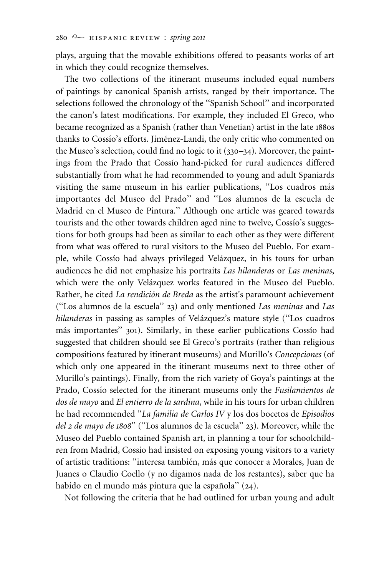plays, arguing that the movable exhibitions offered to peasants works of art in which they could recognize themselves.

The two collections of the itinerant museums included equal numbers of paintings by canonical Spanish artists, ranged by their importance. The selections followed the chronology of the ''Spanish School'' and incorporated the canon's latest modifications. For example, they included El Greco, who became recognized as a Spanish (rather than Venetian) artist in the late 1880s thanks to Cossio's efforts. Jiménez-Landi, the only critic who commented on the Museo's selection, could find no logic to it (330–34). Moreover, the paintings from the Prado that Cossio hand-picked for rural audiences differed substantially from what he had recommended to young and adult Spaniards visiting the same museum in his earlier publications, "Los cuadros más importantes del Museo del Prado'' and ''Los alumnos de la escuela de Madrid en el Museo de Pintura.'' Although one article was geared towards tourists and the other towards children aged nine to twelve, Cossío's suggestions for both groups had been as similar to each other as they were different from what was offered to rural visitors to the Museo del Pueblo. For example, while Cossio had always privileged Velázquez, in his tours for urban audiences he did not emphasize his portraits *Las hilanderas* or *Las meninas*, which were the only Velázquez works featured in the Museo del Pueblo. Rather, he cited *La rendición de Breda* as the artist's paramount achievement (''Los alumnos de la escuela'' 23) and only mentioned *Las meninas* and *Las hilanderas* in passing as samples of Velázquez's mature style ("Los cuadros más importantes" 301). Similarly, in these earlier publications Cossío had suggested that children should see El Greco's portraits (rather than religious compositions featured by itinerant museums) and Murillo's *Concepciones* (of which only one appeared in the itinerant museums next to three other of Murillo's paintings). Finally, from the rich variety of Goya's paintings at the Prado, Cossio selected for the itinerant museums only the *Fusilamientos de dos de mayo* and *El entierro de la sardina*, while in his tours for urban children he had recommended ''*La familia de Carlos IV* y los dos bocetos de *Episodios del 2 de mayo de 1808*'' (''Los alumnos de la escuela'' 23). Moreover, while the Museo del Pueblo contained Spanish art, in planning a tour for schoolchildren from Madrid, Cossío had insisted on exposing young visitors to a variety of artistic traditions: "interesa también, más que conocer a Morales, Juan de Juanes o Claudio Coello (y no digamos nada de los restantes), saber que ha habido en el mundo más pintura que la española" (24).

Not following the criteria that he had outlined for urban young and adult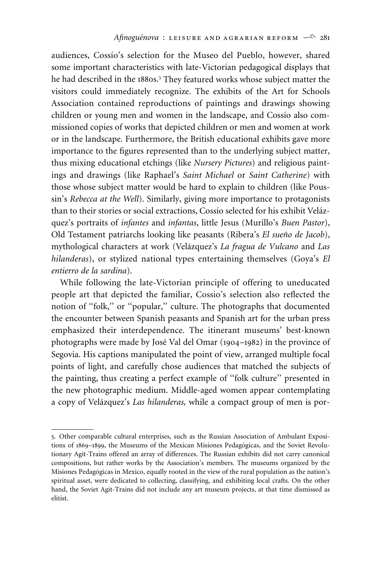audiences, Cossio's selection for the Museo del Pueblo, however, shared some important characteristics with late-Victorian pedagogical displays that he had described in the 1880s.<sup>5</sup> They featured works whose subject matter the visitors could immediately recognize. The exhibits of the Art for Schools Association contained reproductions of paintings and drawings showing children or young men and women in the landscape, and Cossio also commissioned copies of works that depicted children or men and women at work or in the landscape. Furthermore, the British educational exhibits gave more importance to the figures represented than to the underlying subject matter, thus mixing educational etchings (like *Nursery Pictures*) and religious paintings and drawings (like Raphael's *Saint Michael* or *Saint Catherine*) with those whose subject matter would be hard to explain to children (like Poussin's *Rebecca at the Well*). Similarly, giving more importance to protagonists than to their stories or social extractions, Cossío selected for his exhibit Velázquez's portraits of *infantes* and *infantas*, little Jesus (Murillo's *Buen Pastor*), Old Testament patriarchs looking like peasants (Ribera's *El sueño de Jacob*), mythological characters at work (Vela´zquez's *La fragua de Vulcano* and *Las hilanderas*), or stylized national types entertaining themselves (Goya's *El entierro de la sardina*).

While following the late-Victorian principle of offering to uneducated people art that depicted the familiar, Cossio's selection also reflected the notion of ''folk,'' or ''popular,'' culture. The photographs that documented the encounter between Spanish peasants and Spanish art for the urban press emphasized their interdependence. The itinerant museums' best-known photographs were made by José Val del Omar (1904–1982) in the province of Segovia. His captions manipulated the point of view, arranged multiple focal points of light, and carefully chose audiences that matched the subjects of the painting, thus creating a perfect example of ''folk culture'' presented in the new photographic medium. Middle-aged women appear contemplating a copy of Velázquez's *Las hilanderas*, while a compact group of men is por-

<sup>5</sup>. Other comparable cultural enterprises, such as the Russian Association of Ambulant Expositions of 1869–1899, the Museums of the Mexican Misiones Pedagógicas, and the Soviet Revolutionary Agit-Trains offered an array of differences. The Russian exhibits did not carry canonical compositions, but rather works by the Association's members. The museums organized by the Misiones Pedagógicas in Mexico, equally rooted in the view of the rural population as the nation's spiritual asset, were dedicated to collecting, classifying, and exhibiting local crafts. On the other hand, the Soviet Agit-Trains did not include any art museum projects, at that time dismissed as elitist.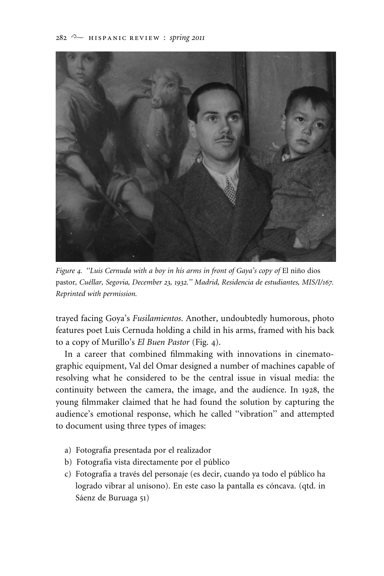

*Figure 4. "Luis Cernuda with a boy in his arms in front of Gaya's copy of El niño dios* pastor*, Cue´llar, Segovia, December 23, 1932.'' Madrid, Residencia de estudiantes, MIS/I/167. Reprinted with permission.*

trayed facing Goya's *Fusilamientos*. Another, undoubtedly humorous, photo features poet Luis Cernuda holding a child in his arms, framed with his back to a copy of Murillo's *El Buen Pastor* (Fig. 4).

In a career that combined filmmaking with innovations in cinematographic equipment, Val del Omar designed a number of machines capable of resolving what he considered to be the central issue in visual media: the continuity between the camera, the image, and the audience. In 1928, the young filmmaker claimed that he had found the solution by capturing the audience's emotional response, which he called ''vibration'' and attempted to document using three types of images:

- a) Fotografía presentada por el realizador
- b) Fotografía vista directamente por el público
- c) Fotografía a través del personaje (es decir, cuando ya todo el público ha logrado vibrar al unísono). En este caso la pantalla es cóncava. (qtd. in Sáenz de Buruaga 51)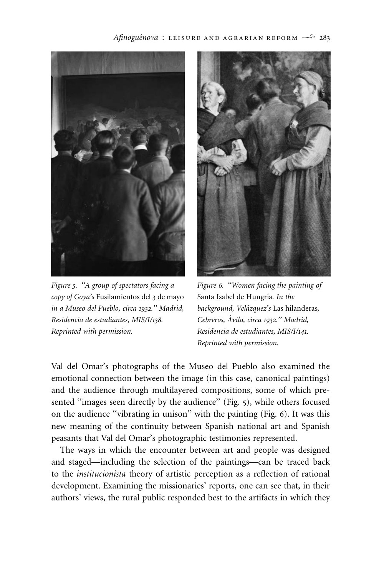

*Figure 5. ''A group of spectators facing a Figure 6. ''Women facing the painting of copy of Goya's* Fusilamientos del 3 de mayo Santa Isabel de Hungrı´a*. In the in a Museo del Pueblo, circa 1932.'' Madrid, background, Vela´zquez's* Las hilanderas*, Residencia de estudiantes, MIS/I/138. Cebreros, A´ vila, circa 1932.'' Madrid, Reprinted with permission. Residencia de estudiantes, MIS/I/141.*



*Reprinted with permission.*

Val del Omar's photographs of the Museo del Pueblo also examined the emotional connection between the image (in this case, canonical paintings) and the audience through multilayered compositions, some of which presented "images seen directly by the audience" (Fig. 5), while others focused on the audience ''vibrating in unison'' with the painting (Fig. 6). It was this new meaning of the continuity between Spanish national art and Spanish peasants that Val del Omar's photographic testimonies represented.

The ways in which the encounter between art and people was designed and staged—including the selection of the paintings—can be traced back to the *institucionista* theory of artistic perception as a reflection of rational development. Examining the missionaries' reports, one can see that, in their authors' views, the rural public responded best to the artifacts in which they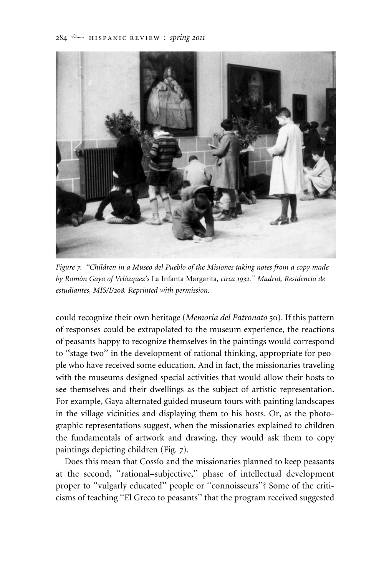#### $284$  <sup>22</sup> HISPANIC REVIEW : *spring* 2011



*Figure 7. ''Children in a Museo del Pueblo of the Misiones taking notes from a copy made by Ramo´n Gaya of Vela´zquez's* La Infanta Margarita*, circa 1932.'' Madrid, Residencia de estudiantes, MIS/I/208. Reprinted with permission.*

could recognize their own heritage (*Memoria del Patronato* 50). If this pattern of responses could be extrapolated to the museum experience, the reactions of peasants happy to recognize themselves in the paintings would correspond to ''stage two'' in the development of rational thinking, appropriate for people who have received some education. And in fact, the missionaries traveling with the museums designed special activities that would allow their hosts to see themselves and their dwellings as the subject of artistic representation. For example, Gaya alternated guided museum tours with painting landscapes in the village vicinities and displaying them to his hosts. Or, as the photographic representations suggest, when the missionaries explained to children the fundamentals of artwork and drawing, they would ask them to copy paintings depicting children (Fig. 7).

Does this mean that Cossio and the missionaries planned to keep peasants at the second, ''rational–subjective,'' phase of intellectual development proper to "vulgarly educated" people or "connoisseurs"? Some of the criticisms of teaching ''El Greco to peasants'' that the program received suggested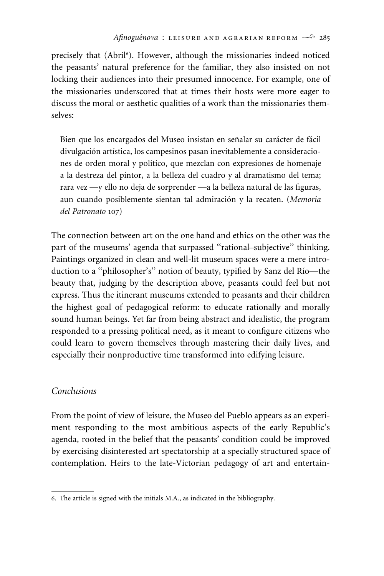precisely that (Abril<sup>6</sup>). However, although the missionaries indeed noticed the peasants' natural preference for the familiar, they also insisted on not locking their audiences into their presumed innocence. For example, one of the missionaries underscored that at times their hosts were more eager to discuss the moral or aesthetic qualities of a work than the missionaries themselves:

Bien que los encargados del Museo insistan en señalar su carácter de fácil divulgación artística, los campesinos pasan inevitablemente a consideraciones de orden moral y político, que mezclan con expresiones de homenaje a la destreza del pintor, a la belleza del cuadro y al dramatismo del tema; rara vez —y ello no deja de sorprender —a la belleza natural de las figuras, aun cuando posiblemente sientan tal admiracio´n y la recaten. (*Memoria del Patronato* 107)

The connection between art on the one hand and ethics on the other was the part of the museums' agenda that surpassed ''rational–subjective'' thinking. Paintings organized in clean and well-lit museum spaces were a mere introduction to a "philosopher's" notion of beauty, typified by Sanz del Río-the beauty that, judging by the description above, peasants could feel but not express. Thus the itinerant museums extended to peasants and their children the highest goal of pedagogical reform: to educate rationally and morally sound human beings. Yet far from being abstract and idealistic, the program responded to a pressing political need, as it meant to configure citizens who could learn to govern themselves through mastering their daily lives, and especially their nonproductive time transformed into edifying leisure.

# *Conclusions*

From the point of view of leisure, the Museo del Pueblo appears as an experiment responding to the most ambitious aspects of the early Republic's agenda, rooted in the belief that the peasants' condition could be improved by exercising disinterested art spectatorship at a specially structured space of contemplation. Heirs to the late-Victorian pedagogy of art and entertain-

<sup>6</sup>. The article is signed with the initials M.A., as indicated in the bibliography.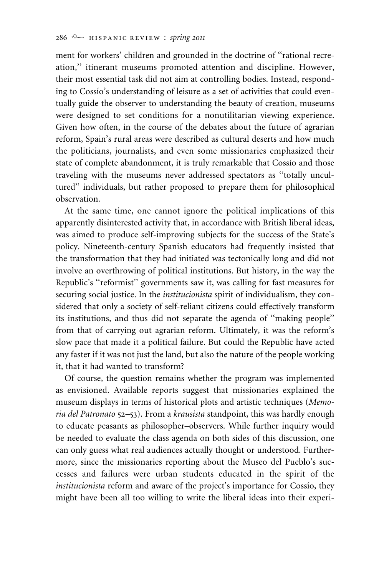ment for workers' children and grounded in the doctrine of ''rational recreation,'' itinerant museums promoted attention and discipline. However, their most essential task did not aim at controlling bodies. Instead, responding to Cossío's understanding of leisure as a set of activities that could eventually guide the observer to understanding the beauty of creation, museums were designed to set conditions for a nonutilitarian viewing experience. Given how often, in the course of the debates about the future of agrarian reform, Spain's rural areas were described as cultural deserts and how much the politicians, journalists, and even some missionaries emphasized their state of complete abandonment, it is truly remarkable that Cossio and those traveling with the museums never addressed spectators as ''totally uncultured'' individuals, but rather proposed to prepare them for philosophical observation.

At the same time, one cannot ignore the political implications of this apparently disinterested activity that, in accordance with British liberal ideas, was aimed to produce self-improving subjects for the success of the State's policy. Nineteenth-century Spanish educators had frequently insisted that the transformation that they had initiated was tectonically long and did not involve an overthrowing of political institutions. But history, in the way the Republic's ''reformist'' governments saw it, was calling for fast measures for securing social justice. In the *institucionista* spirit of individualism, they considered that only a society of self-reliant citizens could effectively transform its institutions, and thus did not separate the agenda of ''making people'' from that of carrying out agrarian reform. Ultimately, it was the reform's slow pace that made it a political failure. But could the Republic have acted any faster if it was not just the land, but also the nature of the people working it, that it had wanted to transform?

Of course, the question remains whether the program was implemented as envisioned. Available reports suggest that missionaries explained the museum displays in terms of historical plots and artistic techniques (*Memoria del Patronato* 52–53). From a *krausista* standpoint, this was hardly enough to educate peasants as philosopher–observers. While further inquiry would be needed to evaluate the class agenda on both sides of this discussion, one can only guess what real audiences actually thought or understood. Furthermore, since the missionaries reporting about the Museo del Pueblo's successes and failures were urban students educated in the spirit of the *institucionista* reform and aware of the project's importance for Cossio, they might have been all too willing to write the liberal ideas into their experi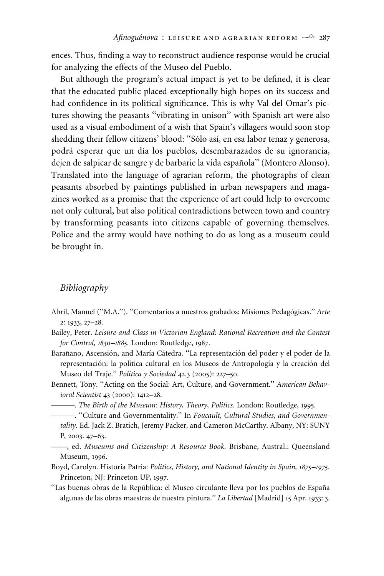ences. Thus, finding a way to reconstruct audience response would be crucial for analyzing the effects of the Museo del Pueblo.

But although the program's actual impact is yet to be defined, it is clear that the educated public placed exceptionally high hopes on its success and had confidence in its political significance. This is why Val del Omar's pictures showing the peasants ''vibrating in unison'' with Spanish art were also used as a visual embodiment of a wish that Spain's villagers would soon stop shedding their fellow citizens' blood: "Sólo así, en esa labor tenaz y generosa, podrá esperar que un día los pueblos, desembarazados de su ignorancia, dejen de salpicar de sangre y de barbarie la vida española" (Montero Alonso). Translated into the language of agrarian reform, the photographs of clean peasants absorbed by paintings published in urban newspapers and magazines worked as a promise that the experience of art could help to overcome not only cultural, but also political contradictions between town and country by transforming peasants into citizens capable of governing themselves. Police and the army would have nothing to do as long as a museum could be brought in.

#### *Bibliography*

- Abril, Manuel ("M.A."). "Comentarios a nuestros grabados: Misiones Pedagógicas." Arte 2: 1933, 27–28.
- Bailey, Peter. *Leisure and Class in Victorian England: Rational Recreation and the Contest for Control, 1830–1885.* London: Routledge, 1987.
- Barañano, Ascensión, and María Cátedra. "La representación del poder y el poder de la representación: la política cultural en los Museos de Antropología y la creación del Museo del Traje.'' *Polı´tica y Sociedad* 42.3 (2005): 227–50.
- Bennett, Tony. ''Acting on the Social: Art, Culture, and Government.'' *American Behavioral Scientist* 43 (2000): 1412–28.

———. *The Birth of the Museum: History, Theory, Politics*. London: Routledge, 1995.

- ———. ''Culture and Governmentality.'' In *Foucault, Cultural Studies, and Governmentality*. Ed. Jack Z. Bratich, Jeremy Packer, and Cameron McCarthy. Albany, NY: SUNY P, 2003. 47–63.
- ——, ed. *Museums and Citizenship: A Resource Book.* Brisbane, Austral.: Queensland Museum, 1996.
- Boyd, Carolyn. Historia Patria: *Politics, History, and National Identity in Spain, 1875–1975*. Princeton, NJ: Princeton UP, 1997.
- "Las buenas obras de la República: el Museo circulante lleva por los pueblos de España algunas de las obras maestras de nuestra pintura.'' *La Libertad* [Madrid] 15 Apr. 1933: 3.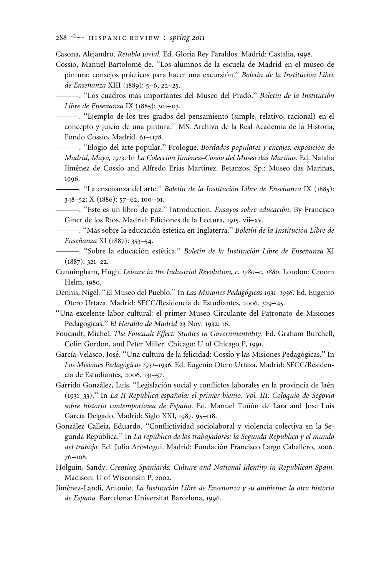Casona, Alejandro. *Retablo jovial.* Ed. Gloria Rey Faraldos. Madrid: Castalia, 1998.

Cossı´o, Manuel Bartolome´ de. ''Los alumnos de la escuela de Madrid en el museo de pintura: consejos prácticos para hacer una excursión." *Boletín de la Institución Libre de Ensen˜anza* XIII (1889): 5–6, 22–25.

———. ''Los cuadros ma´s importantes del Museo del Prado.'' *Boletı´n de la Institucio´n Libre de Enseñanza* IX (1885): 301–03.

———. ''Ejemplo de los tres grados del pensamiento (simple, relativo, racional) en el concepto y juicio de una pintura.'' MS. Archivo de la Real Academia de la Historia, Fondo Cossío, Madrid. 61-1178.

———. ''Elogio del arte popular.'' Prologue. *Bordados populares y encajes: exposicio´n de Madrid, Mayo, 1913*. In *La Coleccio´n Jime´nez–Cossı´o del Museo das Marin˜as*. Ed. Natalia Jiménez de Cossío and Alfredo Erias Martínez. Betanzos, Sp.: Museo das Mariñas, 1996.

——. "La enseñanza del arte." *Boletín de la Institución Libre de Enseñanza* IX (1885): 348–52;X(1886): 57–62, 100–01.

———. ''Este es un libro de paz.'' Introduction. *Ensayos sobre educacio´n*. By Francisco Giner de los Ríos. Madrid: Ediciones de la Lectura, 1915. vii-xv.

———. ''Ma´s sobre la educacio´n este´tica en Inglaterra.'' *Boletı´n de la Institucio´n Libre de Ensen˜anza* XI (1887): 353–54.

———. ''Sobre la educacio´n este´tica.'' *Boletı´n de la Institucio´n Libre de Ensen˜anza* XI  $(1887): 321 - 22.$ 

- Cunningham, Hugh. *Leisure in the Industrial Revolution, c. 1780–c. 1880*. London: Croom Helm, 1980.
- Dennis, Nigel. ''El Museo del Pueblo.'' In *Las Misiones Pedago´gicas 1931–1936*. Ed. Eugenio Otero Urtaza. Madrid: SECC/Residencia de Estudiantes, 2006. 329–45.
- ''Una excelente labor cultural: el primer Museo Circulante del Patronato de Misiones Pedagógicas." *El Heraldo de Madrid* 23 Nov. 1932: 16.

Foucault, Michel. *The Foucault Effect: Studies in Governmentality*. Ed. Graham Burchell, Colin Gordon, and Peter Miller. Chicago: U of Chicago P, 1991.

García-Velasco, José. "Una cultura de la felicidad: Cossío y las Misiones Pedagógicas." In *Las Misiones Pedago´gicas 1931–1936*. Ed. Eugenio Otero Urtaza. Madrid: SECC/Residencia de Estudiantes, 2006. 131–57.

- Garrido González, Luis. "Legislación social y conflictos laborales en la provincia de Jaén (1931–33)." In *La II República española: el primer bienio. Vol. III: Coloquio de Segovia* sobre historia contemporánea de España. Ed. Manuel Tuñón de Lara and José Luis García Delgado. Madrid: Siglo XXI, 1987. 95-118.
- González Calleja, Eduardo. "Conflictividad sociolaboral y violencia colectiva en la Segunda República." In *La república de los trabajadores: la Segunda Republica y el mundo* del trabajo. Ed. Julio Aróstegui. Madrid: Fundación Francisco Largo Caballero, 2006. 76–108.
- Holguín, Sandy. *Creating Spaniards: Culture and National Identity in Republican Spain.* Madison: U of Wisconsin P, 2002.
- Jiménez-Landi, Antonio. *La Institución Libre de Enseñanza y su ambiente: la otra historia de Espan˜a.* Barcelona: Universitat Barcelona, 1996.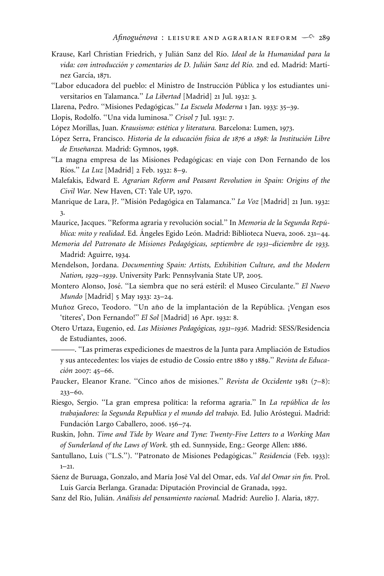- Krause, Karl Christian Friedrich, y Julián Sanz del Río. Ideal de la Humanidad para la vida: con introducción y comentarios de D. Julián Sanz del Río. 2nd ed. Madrid: Martínez García, 1871.
- "Labor educadora del pueblo: el Ministro de Instrucción Pública y los estudiantes universitarios en Talamanca.'' *La Libertad* [Madrid] 21 Jul. 1932: 3.
- Llarena, Pedro. "Misiones Pedagógicas." La Escuela Moderna 1 Jan. 1933: 35-39.
- Llopis, Rodolfo. ''Una vida luminosa.'' *Crisol* 7 Jul. 1931: 7.
- López Morillas, Juan. *Krausismo: estética y literatura*. Barcelona: Lumen, 1973.
- Lo´pez Serra, Francisco. *Historia de la educacio´n fı´sica de 1876 a 1898: la Institucio´n Libre de Ensen˜anza.* Madrid: Gymnos, 1998.
- "La magna empresa de las Misiones Pedagógicas: en viaje con Don Fernando de los Ríos." *La Luz* [Madrid] 2 Feb. 1932: 8-9.
- Malefakis, Edward E. *Agrarian Reform and Peasant Revolution in Spain: Origins of the Civil War.* New Haven, CT: Yale UP, 1970.
- Manrique de Lara, J?. "Misión Pedagógica en Talamanca." *La Voz* [Madrid] 21 Jun. 1932: 3.
- Maurice, Jacques. "Reforma agraria y revolución social." In Memoria de la Segunda República: mito y realidad. Ed. Ángeles Egido León. Madrid: Biblioteca Nueva, 2006. 231–44.
- *Memoria del Patronato de Misiones Pedago´gicas, septiembre de 1931–diciembre de 1933.* Madrid: Aguirre, 1934.
- Mendelson, Jordana. *Documenting Spain: Artists, Exhibition Culture, and the Modern Nation, 1929–1939*. University Park: Pennsylvania State UP, 2005.
- Montero Alonso, Jose´. ''La siembra que no sera´ este´ril: el Museo Circulante.'' *El Nuevo Mundo* [Madrid] 5 May 1933: 23–24.
- Muñoz Greco, Teodoro. "Un año de la implantación de la República. ¡Vengan esos 'títeres', Don Fernando!" *El Sol* [Madrid] 16 Apr. 1932: 8.
- Otero Urtaza, Eugenio, ed. *Las Misiones Pedago´gicas, 1931–1936.* Madrid: SESS/Residencia de Estudiantes, 2006.
- ———. "Las primeras expediciones de maestros de la Junta para Ampliación de Estudios y sus antecedentes: los viajes de estudio de Cossío entre 1880 y 1889." Revista de Educa*cio´n* 2007: 45–66.
- Paucker, Eleanor Krane. "Cinco años de misiones." *Revista de Occidente* 1981 (7-8): 233–60.
- Riesgo, Sergio. "La gran empresa política: la reforma agraria." In *La república de los* trabajadores: la Segunda Republica y el mundo del trabajo. Ed. Julio Aróstegui. Madrid: Fundación Largo Caballero, 2006. 156–74.
- Ruskin, John. *Time and Tide by Weare and Tyne: Twenty-Five Letters to a Working Man of Sunderland of the Laws of Work*. 5th ed. Sunnyside, Eng.: George Allen: 1886.
- Santullano, Luis ("L.S."). "Patronato de Misiones Pedagógicas." *Residencia* (Feb. 1933):  $1 - 21.$
- Sáenz de Buruaga, Gonzalo, and María José Val del Omar, eds. *Val del Omar sin fin*. Prol. Luís García Berlanga. Granada: Diputación Provincial de Granada, 1992.
- Sanz del Río, Julián. *Análisis del pensamiento racional*. Madrid: Aurelio J. Alaria, 1877.